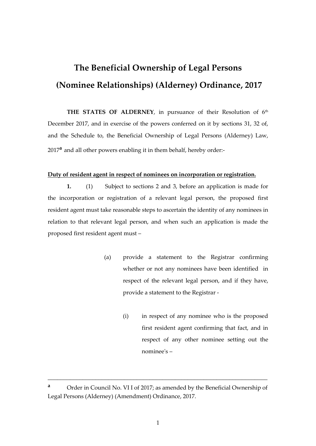# **The Beneficial Ownership of Legal Persons (Nominee Relationships) (Alderney) Ordinance, 2017**

THE STATES OF ALDERNEY, in pursuance of their Resolution of 6<sup>th</sup> December 2017, and in exercise of the powers conferred on it by sections 31, 32 of, and the Schedule to, the Beneficial Ownership of Legal Persons (Alderney) Law, 2017**<sup>a</sup>** and all other powers enabling it in them behalf, hereby order:-

#### **Duty of resident agent in respect of nominees on incorporation or registration.**

**1.** (1) Subject to sections 2 and 3, before an application is made for the incorporation or registration of a relevant legal person, the proposed first resident agent must take reasonable steps to ascertain the identity of any nominees in relation to that relevant legal person, and when such an application is made the proposed first resident agent must –

- (a) provide a statement to the Registrar confirming whether or not any nominees have been identified in respect of the relevant legal person, and if they have, provide a statement to the Registrar -
	- (i) in respect of any nominee who is the proposed first resident agent confirming that fact, and in respect of any other nominee setting out the nominee's –

\_\_\_\_\_\_\_\_\_\_\_\_\_\_\_\_\_\_\_\_\_\_\_\_\_\_\_\_\_\_\_\_\_\_\_\_\_\_\_\_\_\_\_\_\_\_\_\_\_\_\_\_\_\_\_\_\_\_\_\_\_\_\_\_\_\_\_\_\_

**<sup>a</sup>** Order in Council No. VI I of 2017; as amended by the Beneficial Ownership of Legal Persons (Alderney) (Amendment) Ordinance, 2017.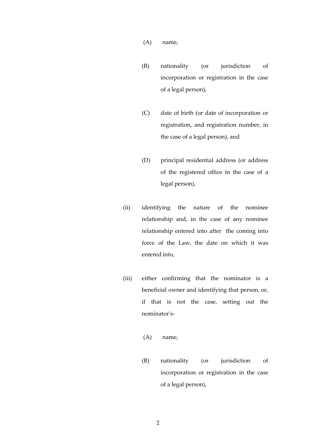- (A) name,
- (B) nationality (or jurisdiction of incorporation or registration in the case of a legal person),
- (C) date of birth (or date of incorporation or registration, and registration number, in the case of a legal person), and
- (D) principal residential address (or address of the registered office in the case of a legal person),
- (ii) identifying the nature of the nominee relationship and, in the case of any nominee relationship entered into after the coming into force of the Law, the date on which it was entered into,
- (iii) either confirming that the nominator is a beneficial owner and identifying that person, or, if that is not the case, setting out the nominator's-
	- (A) name,
	- (B) nationality (or jurisdiction of incorporation or registration in the case of a legal person),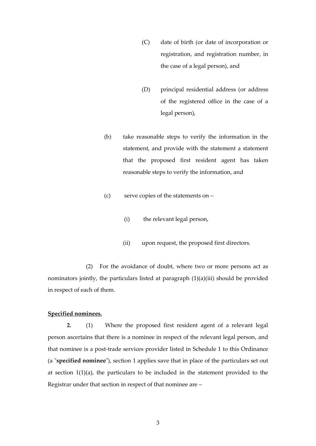- (C) date of birth (or date of incorporation or registration, and registration number, in the case of a legal person), and
- (D) principal residential address (or address of the registered office in the case of a legal person),
- (b) take reasonable steps to verify the information in the statement, and provide with the statement a statement that the proposed first resident agent has taken reasonable steps to verify the information, and
- (c) serve copies of the statements on
	- (i) the relevant legal person,
	- (ii) upon request, the proposed first directors.

(2) For the avoidance of doubt, where two or more persons act as nominators jointly, the particulars listed at paragraph (1)(a)(iii) should be provided in respect of each of them.

#### **Specified nominees.**

**2.** (1) Where the proposed first resident agent of a relevant legal person ascertains that there is a nominee in respect of the relevant legal person, and that nominee is a post-trade services provider listed in Schedule 1 to this Ordinance (a "**specified nominee**"), section 1 applies save that in place of the particulars set out at section 1(1)(a), the particulars to be included in the statement provided to the Registrar under that section in respect of that nominee are –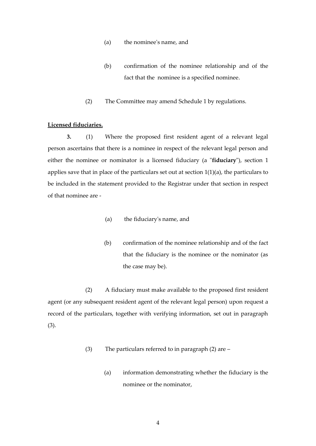- (a) the nominee's name, and
- (b) confirmation of the nominee relationship and of the fact that the nominee is a specified nominee.
- (2) The Committee may amend Schedule 1 by regulations.

#### **Licensed fiduciaries.**

**3.** (1) Where the proposed first resident agent of a relevant legal person ascertains that there is a nominee in respect of the relevant legal person and either the nominee or nominator is a licensed fiduciary (a "**fiduciary**"), section 1 applies save that in place of the particulars set out at section 1(1)(a), the particulars to be included in the statement provided to the Registrar under that section in respect of that nominee are -

- (a) the fiduciary's name, and
- (b) confirmation of the nominee relationship and of the fact that the fiduciary is the nominee or the nominator (as the case may be).

(2) A fiduciary must make available to the proposed first resident agent (or any subsequent resident agent of the relevant legal person) upon request a record of the particulars, together with verifying information, set out in paragraph (3).

- (3) The particulars referred to in paragraph (2) are
	- (a) information demonstrating whether the fiduciary is the nominee or the nominator,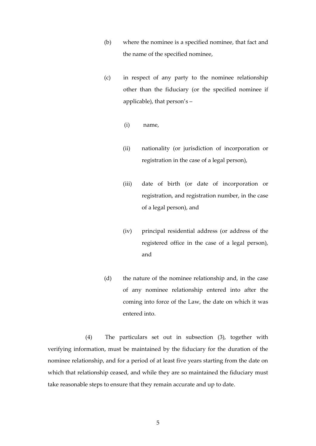- (b) where the nominee is a specified nominee, that fact and the name of the specified nominee,
- (c) in respect of any party to the nominee relationship other than the fiduciary (or the specified nominee if applicable), that person's –
	- (i) name,
	- (ii) nationality (or jurisdiction of incorporation or registration in the case of a legal person),
	- (iii) date of birth (or date of incorporation or registration, and registration number, in the case of a legal person), and
	- (iv) principal residential address (or address of the registered office in the case of a legal person), and
- (d) the nature of the nominee relationship and, in the case of any nominee relationship entered into after the coming into force of the Law, the date on which it was entered into.

(4) The particulars set out in subsection (3), together with verifying information, must be maintained by the fiduciary for the duration of the nominee relationship, and for a period of at least five years starting from the date on which that relationship ceased, and while they are so maintained the fiduciary must take reasonable steps to ensure that they remain accurate and up to date.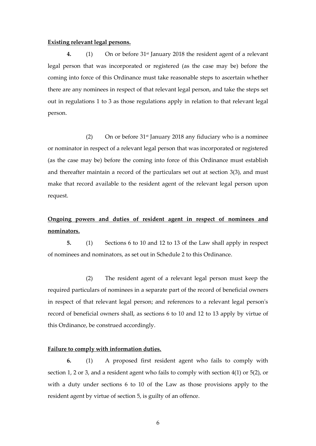#### **Existing relevant legal persons.**

**4.** (1) On or before 31st January 2018 the resident agent of a relevant legal person that was incorporated or registered (as the case may be) before the coming into force of this Ordinance must take reasonable steps to ascertain whether there are any nominees in respect of that relevant legal person, and take the steps set out in regulations 1 to 3 as those regulations apply in relation to that relevant legal person.

(2) On or before  $31<sup>st</sup>$  January 2018 any fiduciary who is a nominee or nominator in respect of a relevant legal person that was incorporated or registered (as the case may be) before the coming into force of this Ordinance must establish and thereafter maintain a record of the particulars set out at section 3(3), and must make that record available to the resident agent of the relevant legal person upon request.

# **Ongoing powers and duties of resident agent in respect of nominees and nominators.**

**5.** (1) Sections 6 to 10 and 12 to 13 of the Law shall apply in respect of nominees and nominators, as set out in Schedule 2 to this Ordinance.

(2) The resident agent of a relevant legal person must keep the required particulars of nominees in a separate part of the record of beneficial owners in respect of that relevant legal person; and references to a relevant legal person's record of beneficial owners shall, as sections 6 to 10 and 12 to 13 apply by virtue of this Ordinance, be construed accordingly.

#### **Failure to comply with information duties.**

**6.** (1) A proposed first resident agent who fails to comply with section 1, 2 or 3, and a resident agent who fails to comply with section 4(1) or 5(2), or with a duty under sections 6 to 10 of the Law as those provisions apply to the resident agent by virtue of section 5, is guilty of an offence.

6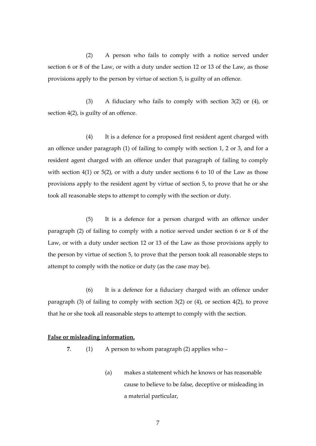(2) A person who fails to comply with a notice served under section 6 or 8 of the Law, or with a duty under section 12 or 13 of the Law, as those provisions apply to the person by virtue of section 5, is guilty of an offence.

(3) A fiduciary who fails to comply with section 3(2) or (4), or section 4(2), is guilty of an offence.

 (4) It is a defence for a proposed first resident agent charged with an offence under paragraph (1) of failing to comply with section 1, 2 or 3, and for a resident agent charged with an offence under that paragraph of failing to comply with section 4(1) or 5(2), or with a duty under sections 6 to 10 of the Law as those provisions apply to the resident agent by virtue of section 5, to prove that he or she took all reasonable steps to attempt to comply with the section or duty.

(5) It is a defence for a person charged with an offence under paragraph (2) of failing to comply with a notice served under section 6 or 8 of the Law, or with a duty under section 12 or 13 of the Law as those provisions apply to the person by virtue of section 5, to prove that the person took all reasonable steps to attempt to comply with the notice or duty (as the case may be).

(6) It is a defence for a fiduciary charged with an offence under paragraph (3) of failing to comply with section 3(2) or (4), or section 4(2), to prove that he or she took all reasonable steps to attempt to comply with the section.

#### **False or misleading information.**

**7**. (1) A person to whom paragraph (2) applies who –

(a) makes a statement which he knows or has reasonable cause to believe to be false, deceptive or misleading in a material particular,

7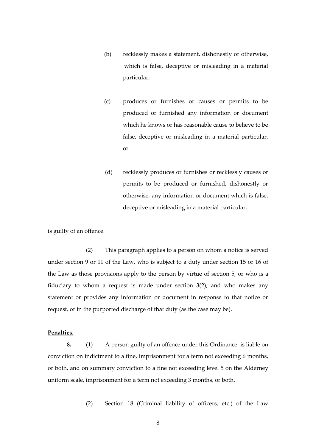- (b) recklessly makes a statement, dishonestly or otherwise, which is false, deceptive or misleading in a material particular,
- (c) produces or furnishes or causes or permits to be produced or furnished any information or document which he knows or has reasonable cause to believe to be false, deceptive or misleading in a material particular, or
- (d) recklessly produces or furnishes or recklessly causes or permits to be produced or furnished, dishonestly or otherwise, any information or document which is false, deceptive or misleading in a material particular,

is guilty of an offence.

(2) This paragraph applies to a person on whom a notice is served under section 9 or 11 of the Law, who is subject to a duty under section 15 or 16 of the Law as those provisions apply to the person by virtue of section 5, or who is a fiduciary to whom a request is made under section 3(2), and who makes any statement or provides any information or document in response to that notice or request, or in the purported discharge of that duty (as the case may be).

#### **Penalties.**

**8.** (1) A person guilty of an offence under this Ordinance is liable on conviction on indictment to a fine, imprisonment for a term not exceeding 6 months, or both, and on summary conviction to a fine not exceeding level 5 on the Alderney uniform scale, imprisonment for a term not exceeding 3 months, or both.

(2) Section 18 (Criminal liability of officers, etc.) of the Law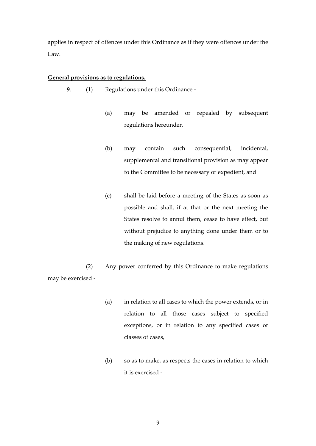applies in respect of offences under this Ordinance as if they were offences under the Law.

#### **General provisions as to regulations.**

- **9**. (1) Regulations under this Ordinance
	- (a) may be amended or repealed by subsequent regulations hereunder,
	- (b) may contain such consequential, incidental, supplemental and transitional provision as may appear to the Committee to be necessary or expedient, and
	- (c) shall be laid before a meeting of the States as soon as possible and shall, if at that or the next meeting the States resolve to annul them, cease to have effect, but without prejudice to anything done under them or to the making of new regulations.

(2) Any power conferred by this Ordinance to make regulations may be exercised -

- (a) in relation to all cases to which the power extends, or in relation to all those cases subject to specified exceptions, or in relation to any specified cases or classes of cases,
- (b) so as to make, as respects the cases in relation to which it is exercised -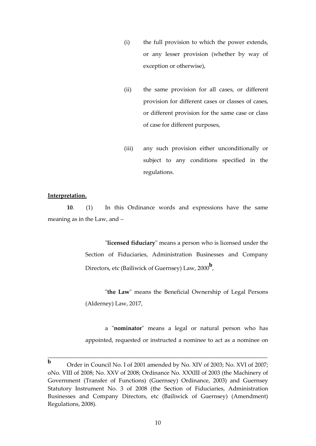- (i) the full provision to which the power extends, or any lesser provision (whether by way of exception or otherwise),
- (ii) the same provision for all cases, or different provision for different cases or classes of cases, or different provision for the same case or class of case for different purposes,
- (iii) any such provision either unconditionally or subject to any conditions specified in the regulations.

#### **Interpretation.**

**10**. (1) In this Ordinance words and expressions have the same meaning as in the Law, and –

> "**licensed fiduciary**" means a person who is licensed under the Section of Fiduciaries, Administration Businesses and Company Directors, etc (Bailiwick of Guernsey) Law, 2000**<sup>b</sup>** ,

> "**the Law**" means the Beneficial Ownership of Legal Persons (Alderney) Law, 2017,

> a "**nominator**" means a legal or natural person who has appointed, requested or instructed a nominee to act as a nominee on

\_\_\_\_\_\_\_\_\_\_\_\_\_\_\_\_\_\_\_\_\_\_\_\_\_\_\_\_\_\_\_\_\_\_\_\_\_\_\_\_\_\_\_\_\_\_\_\_\_\_\_\_\_\_\_\_\_\_\_\_\_\_\_\_\_\_\_\_\_

**b** Order in Council No. I of 2001 amended by No. XIV of 2003; No. XVI of 2007; oNo. VIII of 2008; No. XXV of 2008; Ordinance No. XXXIII of 2003 (the Machinery of Government (Transfer of Functions) (Guernsey) Ordinance, 2003) and Guernsey Statutory Instrument No. 3 of 2008 (the Section of Fiduciaries, Administration Businesses and Company Directors, etc (Bailiwick of Guernsey) (Amendment) Regulations, 2008).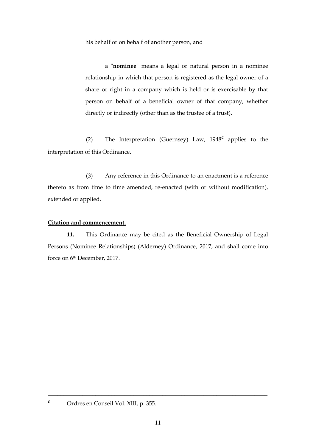his behalf or on behalf of another person, and

a "**nominee**" means a legal or natural person in a nominee relationship in which that person is registered as the legal owner of a share or right in a company which is held or is exercisable by that person on behalf of a beneficial owner of that company, whether directly or indirectly (other than as the trustee of a trust).

(2) The Interpretation (Guernsey) Law, 1948**<sup>c</sup>** applies to the interpretation of this Ordinance.

(3) Any reference in this Ordinance to an enactment is a reference thereto as from time to time amended, re-enacted (with or without modification), extended or applied.

#### **Citation and commencement.**

**11.** This Ordinance may be cited as the Beneficial Ownership of Legal Persons (Nominee Relationships) (Alderney) Ordinance, 2017, and shall come into force on 6 th December, 2017.

\_\_\_\_\_\_\_\_\_\_\_\_\_\_\_\_\_\_\_\_\_\_\_\_\_\_\_\_\_\_\_\_\_\_\_\_\_\_\_\_\_\_\_\_\_\_\_\_\_\_\_\_\_\_\_\_\_\_\_\_\_\_\_\_\_\_\_\_\_

**<sup>c</sup>** Ordres en Conseil Vol. XIII, p. 355.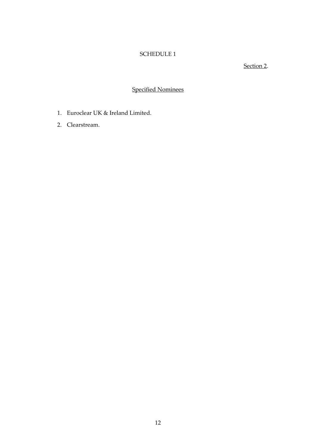## SCHEDULE 1

### Section 2.

## Specified Nominees

- 1. Euroclear UK & Ireland Limited.
- 2. Clearstream.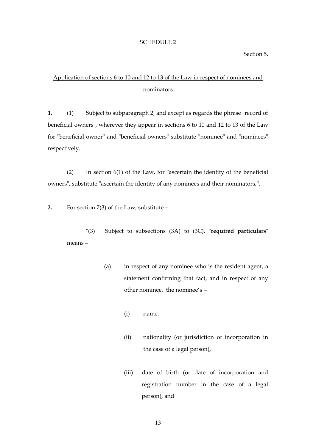#### SCHEDULE 2

#### Section 5.

## Application of sections 6 to 10 and 12 to 13 of the Law in respect of nominees and nominators

**1.** (1) Subject to subparagraph 2, and except as regards the phrase "record of beneficial owners", wherever they appear in sections 6 to 10 and 12 to 13 of the Law for "beneficial owner" and "beneficial owners" substitute "nominee" and "nominees" respectively.

(2) In section 6(1) of the Law, for "ascertain the identity of the beneficial owners", substitute "ascertain the identity of any nominees and their nominators,".

**2.** For section 7(3) of the Law, substitute –

"(3) Subject to subsections (3A) to (3C), "**required particulars**" means –

- (a) in respect of any nominee who is the resident agent, a statement confirming that fact, and in respect of any other nominee, the nominee's –
	- (i) name,
	- (ii) nationality (or jurisdiction of incorporation in the case of a legal person),
	- (iii) date of birth (or date of incorporation and registration number in the case of a legal person), and

13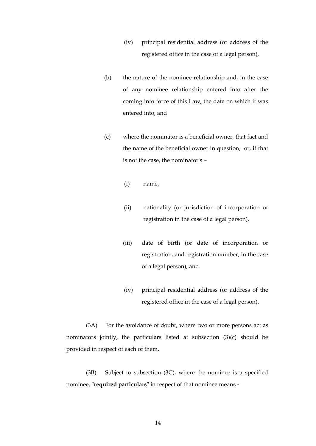- (iv) principal residential address (or address of the registered office in the case of a legal person),
- (b) the nature of the nominee relationship and, in the case of any nominee relationship entered into after the coming into force of this Law, the date on which it was entered into, and
- (c) where the nominator is a beneficial owner, that fact and the name of the beneficial owner in question, or, if that is not the case, the nominator's –
	- (i) name,
	- (ii) nationality (or jurisdiction of incorporation or registration in the case of a legal person),
	- (iii) date of birth (or date of incorporation or registration, and registration number, in the case of a legal person), and
	- (iv) principal residential address (or address of the registered office in the case of a legal person).

(3A) For the avoidance of doubt, where two or more persons act as nominators jointly, the particulars listed at subsection (3)(c) should be provided in respect of each of them.

(3B) Subject to subsection (3C), where the nominee is a specified nominee, "**required particulars**" in respect of that nominee means -